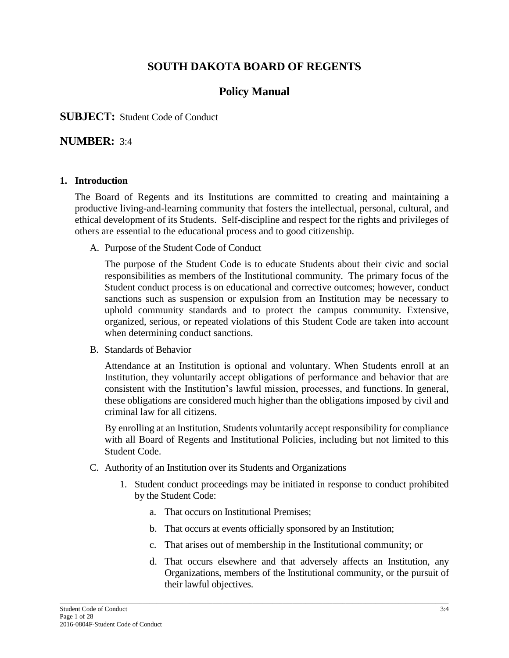# **SOUTH DAKOTA BOARD OF REGENTS**

# **Policy Manual**

#### **SUBJECT:** Student Code of Conduct

#### **NUMBER:** 3:4

#### **1. Introduction**

The Board of Regents and its Institutions are committed to creating and maintaining a productive living-and-learning community that fosters the intellectual, personal, cultural, and ethical development of its Students. Self-discipline and respect for the rights and privileges of others are essential to the educational process and to good citizenship.

A. Purpose of the Student Code of Conduct

The purpose of the Student Code is to educate Students about their civic and social responsibilities as members of the Institutional community. The primary focus of the Student conduct process is on educational and corrective outcomes; however, conduct sanctions such as suspension or expulsion from an Institution may be necessary to uphold community standards and to protect the campus community. Extensive, organized, serious, or repeated violations of this Student Code are taken into account when determining conduct sanctions.

B. Standards of Behavior

Attendance at an Institution is optional and voluntary. When Students enroll at an Institution, they voluntarily accept obligations of performance and behavior that are consistent with the Institution's lawful mission, processes, and functions. In general, these obligations are considered much higher than the obligations imposed by civil and criminal law for all citizens.

By enrolling at an Institution, Students voluntarily accept responsibility for compliance with all Board of Regents and Institutional Policies, including but not limited to this Student Code.

- C. Authority of an Institution over its Students and Organizations
	- 1. Student conduct proceedings may be initiated in response to conduct prohibited by the Student Code:
		- a. That occurs on Institutional Premises;
		- b. That occurs at events officially sponsored by an Institution;

\_\_\_\_\_\_\_\_\_\_\_\_\_\_\_\_\_\_\_\_\_\_\_\_\_\_\_\_\_\_\_\_\_\_\_\_\_\_\_\_\_\_\_\_\_\_\_\_\_\_\_\_\_\_\_\_\_\_\_\_\_\_\_\_\_\_\_\_\_\_\_\_\_\_\_\_\_\_\_\_\_\_\_\_\_\_\_\_\_\_\_\_\_\_\_\_\_\_\_\_\_\_\_\_\_\_\_\_\_\_\_\_\_\_\_\_\_

- c. That arises out of membership in the Institutional community; or
- d. That occurs elsewhere and that adversely affects an Institution, any Organizations, members of the Institutional community, or the pursuit of their lawful objectives.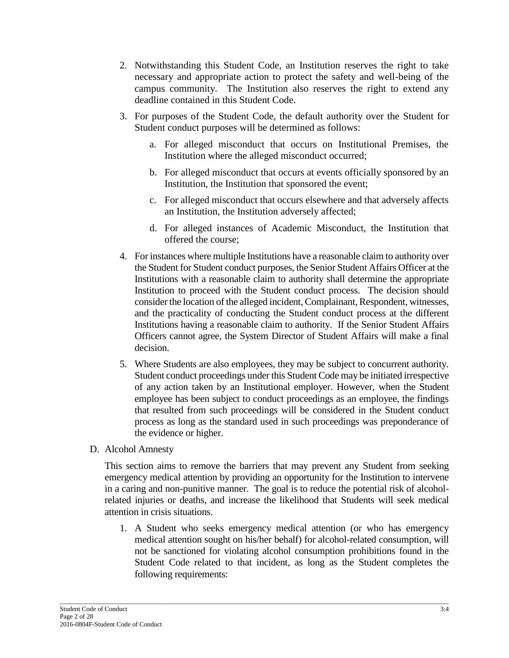- 2. Notwithstanding this Student Code, an Institution reserves the right to take necessary and appropriate action to protect the safety and well-being of the campus community. The Institution also reserves the right to extend any deadline contained in this Student Code.
- 3. For purposes of the Student Code, the default authority over the Student for Student conduct purposes will be determined as follows:
	- a. For alleged misconduct that occurs on Institutional Premises, the Institution where the alleged misconduct occurred;
	- b. For alleged misconduct that occurs at events officially sponsored by an Institution, the Institution that sponsored the event;
	- c. For alleged misconduct that occurs elsewhere and that adversely affects an Institution, the Institution adversely affected;
	- d. For alleged instances of Academic Misconduct, the Institution that offered the course;
- 4. For instances where multiple Institutions have a reasonable claim to authority over the Student for Student conduct purposes, the Senior Student Affairs Officer at the Institutions with a reasonable claim to authority shall determine the appropriate Institution to proceed with the Student conduct process. The decision should consider the location of the alleged incident, Complainant, Respondent, witnesses, and the practicality of conducting the Student conduct process at the different Institutions having a reasonable claim to authority. If the Senior Student Affairs Officers cannot agree, the System Director of Student Affairs will make a final decision.
- 5. Where Students are also employees, they may be subject to concurrent authority. Student conduct proceedings under this Student Code may be initiated irrespective of any action taken by an Institutional employer. However, when the Student employee has been subject to conduct proceedings as an employee, the findings that resulted from such proceedings will be considered in the Student conduct process as long as the standard used in such proceedings was preponderance of the evidence or higher.
- D. Alcohol Amnesty

This section aims to remove the barriers that may prevent any Student from seeking emergency medical attention by providing an opportunity for the Institution to intervene in a caring and non-punitive manner. The goal is to reduce the potential risk of alcoholrelated injuries or deaths, and increase the likelihood that Students will seek medical attention in crisis situations.

1. A Student who seeks emergency medical attention (or who has emergency medical attention sought on his/her behalf) for alcohol-related consumption, will not be sanctioned for violating alcohol consumption prohibitions found in the Student Code related to that incident, as long as the Student completes the following requirements: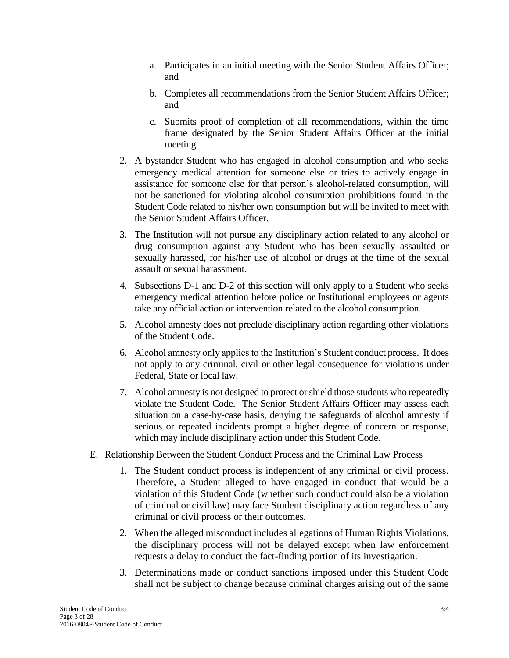- a. Participates in an initial meeting with the Senior Student Affairs Officer; and
- b. Completes all recommendations from the Senior Student Affairs Officer; and
- c. Submits proof of completion of all recommendations, within the time frame designated by the Senior Student Affairs Officer at the initial meeting.
- 2. A bystander Student who has engaged in alcohol consumption and who seeks emergency medical attention for someone else or tries to actively engage in assistance for someone else for that person's alcohol-related consumption, will not be sanctioned for violating alcohol consumption prohibitions found in the Student Code related to his/her own consumption but will be invited to meet with the Senior Student Affairs Officer.
- 3. The Institution will not pursue any disciplinary action related to any alcohol or drug consumption against any Student who has been sexually assaulted or sexually harassed, for his/her use of alcohol or drugs at the time of the sexual assault or sexual harassment.
- 4. Subsections D-1 and D-2 of this section will only apply to a Student who seeks emergency medical attention before police or Institutional employees or agents take any official action or intervention related to the alcohol consumption.
- 5. Alcohol amnesty does not preclude disciplinary action regarding other violations of the Student Code.
- 6. Alcohol amnesty only applies to the Institution's Student conduct process. It does not apply to any criminal, civil or other legal consequence for violations under Federal, State or local law.
- 7. Alcohol amnesty is not designed to protect or shield those students who repeatedly violate the Student Code. The Senior Student Affairs Officer may assess each situation on a case-by-case basis, denying the safeguards of alcohol amnesty if serious or repeated incidents prompt a higher degree of concern or response, which may include disciplinary action under this Student Code.
- E. Relationship Between the Student Conduct Process and the Criminal Law Process
	- 1. The Student conduct process is independent of any criminal or civil process. Therefore, a Student alleged to have engaged in conduct that would be a violation of this Student Code (whether such conduct could also be a violation of criminal or civil law) may face Student disciplinary action regardless of any criminal or civil process or their outcomes.
	- 2. When the alleged misconduct includes allegations of Human Rights Violations, the disciplinary process will not be delayed except when law enforcement requests a delay to conduct the fact-finding portion of its investigation.
	- 3. Determinations made or conduct sanctions imposed under this Student Code shall not be subject to change because criminal charges arising out of the same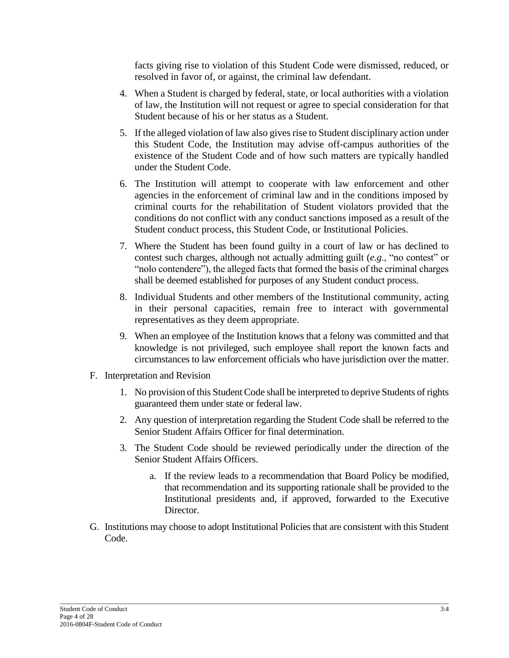facts giving rise to violation of this Student Code were dismissed, reduced, or resolved in favor of, or against, the criminal law defendant.

- 4. When a Student is charged by federal, state, or local authorities with a violation of law, the Institution will not request or agree to special consideration for that Student because of his or her status as a Student.
- 5. If the alleged violation of law also gives rise to Student disciplinary action under this Student Code, the Institution may advise off-campus authorities of the existence of the Student Code and of how such matters are typically handled under the Student Code.
- 6. The Institution will attempt to cooperate with law enforcement and other agencies in the enforcement of criminal law and in the conditions imposed by criminal courts for the rehabilitation of Student violators provided that the conditions do not conflict with any conduct sanctions imposed as a result of the Student conduct process, this Student Code, or Institutional Policies.
- 7. Where the Student has been found guilty in a court of law or has declined to contest such charges, although not actually admitting guilt (*e.g*., "no contest" or "nolo contendere"), the alleged facts that formed the basis of the criminal charges shall be deemed established for purposes of any Student conduct process.
- 8. Individual Students and other members of the Institutional community, acting in their personal capacities, remain free to interact with governmental representatives as they deem appropriate.
- 9. When an employee of the Institution knows that a felony was committed and that knowledge is not privileged, such employee shall report the known facts and circumstances to law enforcement officials who have jurisdiction over the matter.
- F. Interpretation and Revision
	- 1. No provision of this Student Code shall be interpreted to deprive Students of rights guaranteed them under state or federal law.
	- 2. Any question of interpretation regarding the Student Code shall be referred to the Senior Student Affairs Officer for final determination.
	- 3. The Student Code should be reviewed periodically under the direction of the Senior Student Affairs Officers.
		- a. If the review leads to a recommendation that Board Policy be modified, that recommendation and its supporting rationale shall be provided to the Institutional presidents and, if approved, forwarded to the Executive Director.
- G. Institutions may choose to adopt Institutional Policies that are consistent with this Student Code.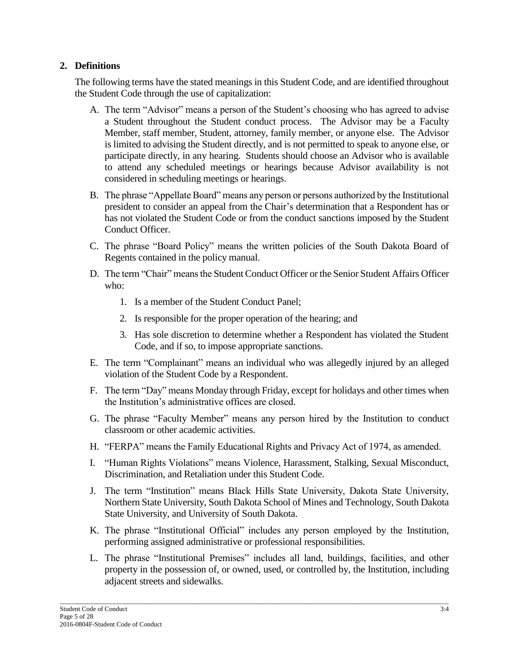## **2. Definitions**

The following terms have the stated meanings in this Student Code, and are identified throughout the Student Code through the use of capitalization:

- A. The term "Advisor" means a person of the Student's choosing who has agreed to advise a Student throughout the Student conduct process. The Advisor may be a Faculty Member, staff member, Student, attorney, family member, or anyone else. The Advisor is limited to advising the Student directly, and is not permitted to speak to anyone else, or participate directly, in any hearing. Students should choose an Advisor who is available to attend any scheduled meetings or hearings because Advisor availability is not considered in scheduling meetings or hearings.
- B. The phrase "Appellate Board" means any person or persons authorized by the Institutional president to consider an appeal from the Chair's determination that a Respondent has or has not violated the Student Code or from the conduct sanctions imposed by the Student Conduct Officer.
- C. The phrase "Board Policy" means the written policies of the South Dakota Board of Regents contained in th[e policy manual.](https://www.sdbor.edu/policy/policymanual.htm)
- D. The term "Chair" means the Student Conduct Officer or the Senior Student Affairs Officer who:
	- 1. Is a member of the Student Conduct Panel;
	- 2. Is responsible for the proper operation of the hearing; and
	- 3. Has sole discretion to determine whether a Respondent has violated the Student Code, and if so, to impose appropriate sanctions.
- E. The term "Complainant" means an individual who was allegedly injured by an alleged violation of the Student Code by a Respondent.
- F. The term "Day" means Monday through Friday, except for holidays and other times when the Institution's administrative offices are closed.
- G. The phrase "Faculty Member" means any person hired by the Institution to conduct classroom or other academic activities.
- H. "FERPA" means the Family Educational Rights and Privacy Act of 1974, as amended.
- I. "Human Rights Violations" means Violence, Harassment, Stalking, Sexual Misconduct, Discrimination, and Retaliation under this Student Code.
- J. The term "Institution" means Black Hills State University, Dakota State University, Northern State University, South Dakota School of Mines and Technology, South Dakota State University, and University of South Dakota.
- K. The phrase "Institutional Official" includes any person employed by the Institution, performing assigned administrative or professional responsibilities.
- L. The phrase "Institutional Premises" includes all land, buildings, facilities, and other property in the possession of, or owned, used, or controlled by, the Institution, including adjacent streets and sidewalks.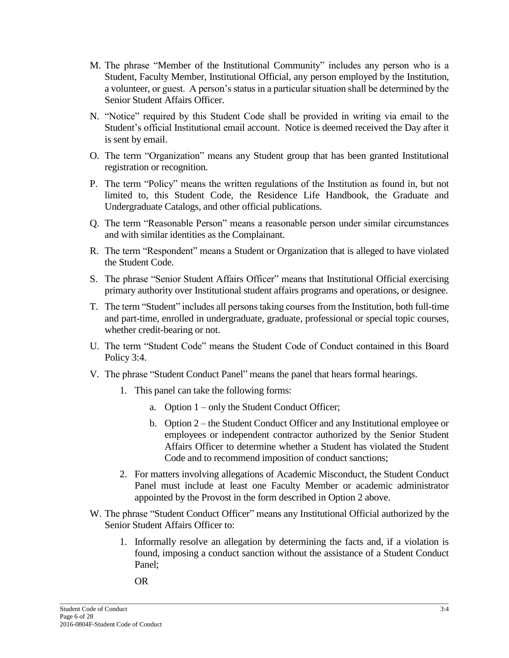- M. The phrase "Member of the Institutional Community" includes any person who is a Student, Faculty Member, Institutional Official, any person employed by the Institution, a volunteer, or guest. A person's status in a particular situation shall be determined by the Senior Student Affairs Officer.
- N. "Notice" required by this Student Code shall be provided in writing via email to the Student's official Institutional email account. Notice is deemed received the Day after it is sent by email.
- O. The term "Organization" means any Student group that has been granted Institutional registration or recognition.
- P. The term "Policy" means the written regulations of the Institution as found in, but not limited to, this Student Code, the Residence Life Handbook, the Graduate and Undergraduate Catalogs, and other official publications.
- Q. The term "Reasonable Person" means a reasonable person under similar circumstances and with similar identities as the Complainant.
- R. The term "Respondent" means a Student or Organization that is alleged to have violated the Student Code.
- S. The phrase "Senior Student Affairs Officer" means that Institutional Official exercising primary authority over Institutional student affairs programs and operations, or designee.
- T. The term "Student" includes all persons taking courses from the Institution, both full-time and part-time, enrolled in undergraduate, graduate, professional or special topic courses, whether credit-bearing or not.
- U. The term "Student Code" means the Student Code of Conduct contained in this Board Policy 3:4.
- V. The phrase "Student Conduct Panel" means the panel that hears formal hearings.
	- 1. This panel can take the following forms:
		- a. Option 1 only the Student Conduct Officer;
		- b. Option 2 the Student Conduct Officer and any Institutional employee or employees or independent contractor authorized by the Senior Student Affairs Officer to determine whether a Student has violated the Student Code and to recommend imposition of conduct sanctions;
	- 2. For matters involving allegations of Academic Misconduct, the Student Conduct Panel must include at least one Faculty Member or academic administrator appointed by the Provost in the form described in Option 2 above.
- W. The phrase "Student Conduct Officer" means any Institutional Official authorized by the Senior Student Affairs Officer to:
	- 1. Informally resolve an allegation by determining the facts and, if a violation is found, imposing a conduct sanction without the assistance of a Student Conduct Panel;
		- OR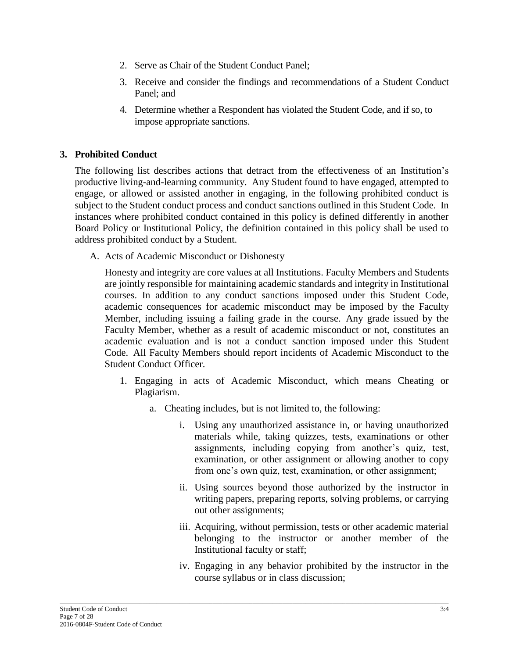- 2. Serve as Chair of the Student Conduct Panel;
- 3. Receive and consider the findings and recommendations of a Student Conduct Panel; and
- 4. Determine whether a Respondent has violated the Student Code, and if so, to impose appropriate sanctions.

### **3. Prohibited Conduct**

The following list describes actions that detract from the effectiveness of an Institution's productive living-and-learning community. Any Student found to have engaged, attempted to engage, or allowed or assisted another in engaging, in the following prohibited conduct is subject to the Student conduct process and conduct sanctions outlined in this Student Code. In instances where prohibited conduct contained in this policy is defined differently in another Board Policy or Institutional Policy, the definition contained in this policy shall be used to address prohibited conduct by a Student.

A. Acts of Academic Misconduct or Dishonesty

Honesty and integrity are core values at all Institutions. Faculty Members and Students are jointly responsible for maintaining academic standards and integrity in Institutional courses. In addition to any conduct sanctions imposed under this Student Code, academic consequences for academic misconduct may be imposed by the Faculty Member, including issuing a failing grade in the course. Any grade issued by the Faculty Member, whether as a result of academic misconduct or not, constitutes an academic evaluation and is not a conduct sanction imposed under this Student Code. All Faculty Members should report incidents of Academic Misconduct to the Student Conduct Officer.

- 1. Engaging in acts of Academic Misconduct, which means Cheating or Plagiarism.
	- a. Cheating includes, but is not limited to, the following:
		- i. Using any unauthorized assistance in, or having unauthorized materials while, taking quizzes, tests, examinations or other assignments, including copying from another's quiz, test, examination, or other assignment or allowing another to copy from one's own quiz, test, examination, or other assignment;
		- ii. Using sources beyond those authorized by the instructor in writing papers, preparing reports, solving problems, or carrying out other assignments;
		- iii. Acquiring, without permission, tests or other academic material belonging to the instructor or another member of the Institutional faculty or staff;
		- iv. Engaging in any behavior prohibited by the instructor in the course syllabus or in class discussion;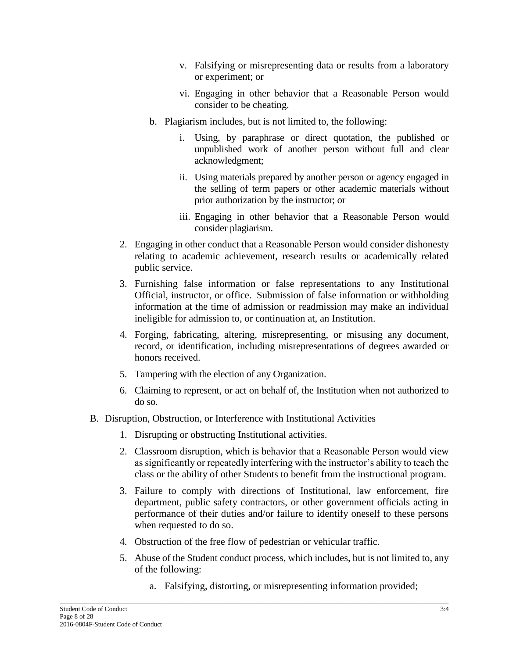- v. Falsifying or misrepresenting data or results from a laboratory or experiment; or
- vi. Engaging in other behavior that a Reasonable Person would consider to be cheating.
- b. Plagiarism includes, but is not limited to, the following:
	- i. Using, by paraphrase or direct quotation, the published or unpublished work of another person without full and clear acknowledgment;
	- ii. Using materials prepared by another person or agency engaged in the selling of term papers or other academic materials without prior authorization by the instructor; or
	- iii. Engaging in other behavior that a Reasonable Person would consider plagiarism.
- 2. Engaging in other conduct that a Reasonable Person would consider dishonesty relating to academic achievement, research results or academically related public service.
- 3. Furnishing false information or false representations to any Institutional Official, instructor, or office. Submission of false information or withholding information at the time of admission or readmission may make an individual ineligible for admission to, or continuation at, an Institution.
- 4. Forging, fabricating, altering, misrepresenting, or misusing any document, record, or identification, including misrepresentations of degrees awarded or honors received.
- 5. Tampering with the election of any Organization.
- 6. Claiming to represent, or act on behalf of, the Institution when not authorized to do so.
- B. Disruption, Obstruction, or Interference with Institutional Activities
	- 1. Disrupting or obstructing Institutional activities.
	- 2. Classroom disruption, which is behavior that a Reasonable Person would view as significantly or repeatedly interfering with the instructor's ability to teach the class or the ability of other Students to benefit from the instructional program.
	- 3. Failure to comply with directions of Institutional, law enforcement, fire department, public safety contractors, or other government officials acting in performance of their duties and/or failure to identify oneself to these persons when requested to do so.
	- 4. Obstruction of the free flow of pedestrian or vehicular traffic.
	- 5. Abuse of the Student conduct process, which includes, but is not limited to, any of the following:
		- a. Falsifying, distorting, or misrepresenting information provided;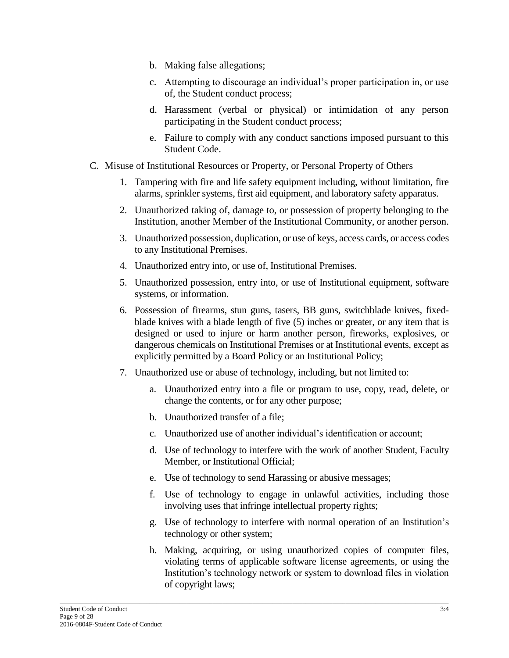- b. Making false allegations;
- c. Attempting to discourage an individual's proper participation in, or use of, the Student conduct process;
- d. Harassment (verbal or physical) or intimidation of any person participating in the Student conduct process;
- e. Failure to comply with any conduct sanctions imposed pursuant to this Student Code.
- C. Misuse of Institutional Resources or Property, or Personal Property of Others
	- 1. Tampering with fire and life safety equipment including, without limitation, fire alarms, sprinkler systems, first aid equipment, and laboratory safety apparatus.
	- 2. Unauthorized taking of, damage to, or possession of property belonging to the Institution, another Member of the Institutional Community, or another person.
	- 3. Unauthorized possession, duplication, or use of keys, access cards, or access codes to any Institutional Premises.
	- 4. Unauthorized entry into, or use of, Institutional Premises.
	- 5. Unauthorized possession, entry into, or use of Institutional equipment, software systems, or information.
	- 6. Possession of firearms, stun guns, tasers, BB guns, switchblade knives, fixedblade knives with a blade length of five (5) inches or greater, or any item that is designed or used to injure or harm another person, fireworks, explosives, or dangerous chemicals on Institutional Premises or at Institutional events, except as explicitly permitted by a Board Policy or an Institutional Policy;
	- 7. Unauthorized use or abuse of technology, including, but not limited to:
		- a. Unauthorized entry into a file or program to use, copy, read, delete, or change the contents, or for any other purpose;
		- b. Unauthorized transfer of a file;
		- c. Unauthorized use of another individual's identification or account;
		- d. Use of technology to interfere with the work of another Student, Faculty Member, or Institutional Official;
		- e. Use of technology to send Harassing or abusive messages;
		- f. Use of technology to engage in unlawful activities, including those involving uses that infringe intellectual property rights;
		- g. Use of technology to interfere with normal operation of an Institution's technology or other system;
		- h. Making, acquiring, or using unauthorized copies of computer files, violating terms of applicable software license agreements, or using the Institution's technology network or system to download files in violation of copyright laws;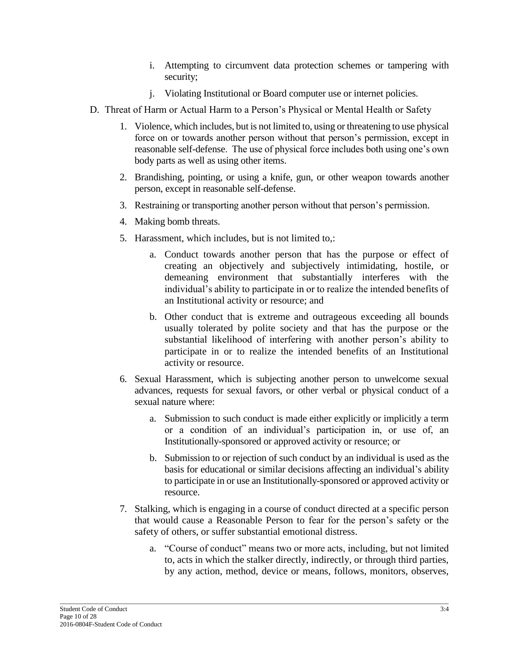- i. Attempting to circumvent data protection schemes or tampering with security;
- j. Violating Institutional or Board computer use or internet policies.
- D. Threat of Harm or Actual Harm to a Person's Physical or Mental Health or Safety
	- 1. Violence, which includes, but is not limited to, using or threatening to use physical force on or towards another person without that person's permission, except in reasonable self-defense. The use of physical force includes both using one's own body parts as well as using other items.
	- 2. Brandishing, pointing, or using a knife, gun, or other weapon towards another person, except in reasonable self-defense.
	- 3. Restraining or transporting another person without that person's permission.
	- 4. Making bomb threats.
	- 5. Harassment, which includes, but is not limited to,:
		- a. Conduct towards another person that has the purpose or effect of creating an objectively and subjectively intimidating, hostile, or demeaning environment that substantially interferes with the individual's ability to participate in or to realize the intended benefits of an Institutional activity or resource; and
		- b. Other conduct that is extreme and outrageous exceeding all bounds usually tolerated by polite society and that has the purpose or the substantial likelihood of interfering with another person's ability to participate in or to realize the intended benefits of an Institutional activity or resource.
	- 6. Sexual Harassment, which is subjecting another person to unwelcome sexual advances, requests for sexual favors, or other verbal or physical conduct of a sexual nature where:
		- a. Submission to such conduct is made either explicitly or implicitly a term or a condition of an individual's participation in, or use of, an Institutionally-sponsored or approved activity or resource; or
		- b. Submission to or rejection of such conduct by an individual is used as the basis for educational or similar decisions affecting an individual's ability to participate in or use an Institutionally-sponsored or approved activity or resource.
	- 7. Stalking, which is engaging in a course of conduct directed at a specific person that would cause a Reasonable Person to fear for the person's safety or the safety of others, or suffer substantial emotional distress.
		- a. "Course of conduct" means two or more acts, including, but not limited to, acts in which the stalker directly, indirectly, or through third parties, by any action, method, device or means, follows, monitors, observes,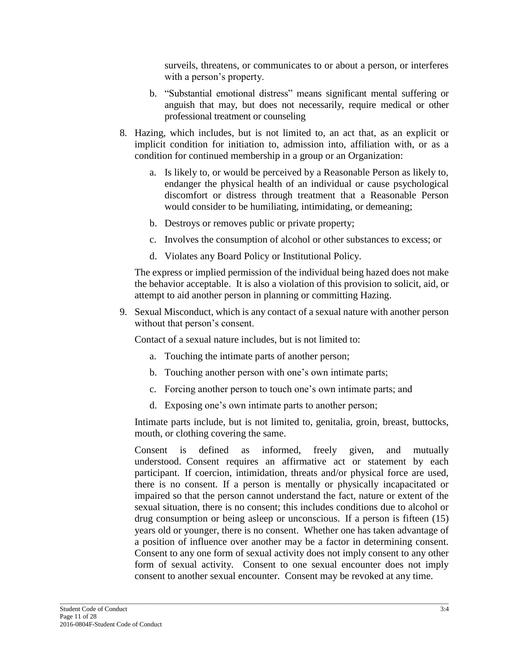surveils, threatens, or communicates to or about a person, or interferes with a person's property.

- b. "Substantial emotional distress" means significant mental suffering or anguish that may, but does not necessarily, require medical or other professional treatment or counseling
- 8. Hazing, which includes, but is not limited to, an act that, as an explicit or implicit condition for initiation to, admission into, affiliation with, or as a condition for continued membership in a group or an Organization:
	- a. Is likely to, or would be perceived by a Reasonable Person as likely to, endanger the physical health of an individual or cause psychological discomfort or distress through treatment that a Reasonable Person would consider to be humiliating, intimidating, or demeaning;
	- b. Destroys or removes public or private property;
	- c. Involves the consumption of alcohol or other substances to excess; or
	- d. Violates any Board Policy or Institutional Policy.

The express or implied permission of the individual being hazed does not make the behavior acceptable. It is also a violation of this provision to solicit, aid, or attempt to aid another person in planning or committing Hazing.

9. Sexual Misconduct, which is any contact of a sexual nature with another person without that person's consent.

Contact of a sexual nature includes, but is not limited to:

- a. Touching the intimate parts of another person;
- b. Touching another person with one's own intimate parts;
- c. Forcing another person to touch one's own intimate parts; and
- d. Exposing one's own intimate parts to another person;

Intimate parts include, but is not limited to, genitalia, groin, breast, buttocks, mouth, or clothing covering the same.

Consent is defined as informed, freely given, and mutually understood. Consent requires an affirmative act or statement by each participant. If coercion, intimidation, threats and/or physical force are used, there is no consent. If a person is mentally or physically incapacitated or impaired so that the person cannot understand the fact, nature or extent of the sexual situation, there is no consent; this includes conditions due to alcohol or drug consumption or being asleep or unconscious. If a person is fifteen (15) years old or younger, there is no consent. Whether one has taken advantage of a position of influence over another may be a factor in determining consent. Consent to any one form of sexual activity does not imply consent to any other form of sexual activity. Consent to one sexual encounter does not imply consent to another sexual encounter. Consent may be revoked at any time.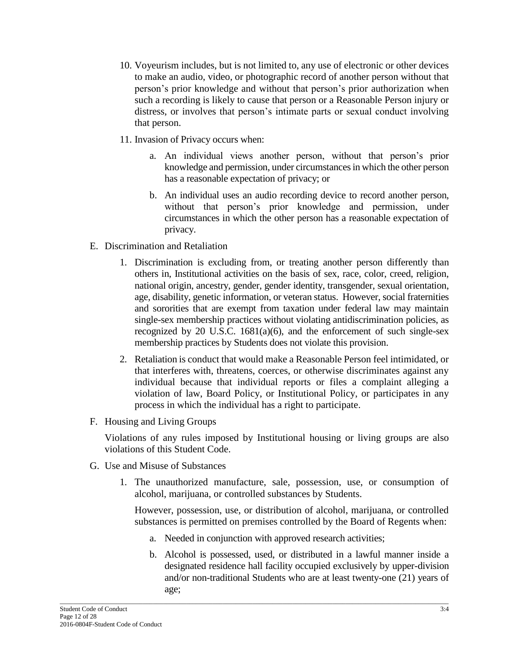- 10. Voyeurism includes, but is not limited to, any use of electronic or other devices to make an audio, video, or photographic record of another person without that person's prior knowledge and without that person's prior authorization when such a recording is likely to cause that person or a Reasonable Person injury or distress, or involves that person's intimate parts or sexual conduct involving that person.
- 11. Invasion of Privacy occurs when:
	- a. An individual views another person, without that person's prior knowledge and permission, under circumstances in which the other person has a reasonable expectation of privacy; or
	- b. An individual uses an audio recording device to record another person, without that person's prior knowledge and permission, under circumstances in which the other person has a reasonable expectation of privacy.
- E. Discrimination and Retaliation
	- 1. Discrimination is excluding from, or treating another person differently than others in, Institutional activities on the basis of sex, race, color, creed, religion, national origin, ancestry, gender, gender identity, transgender, sexual orientation, age, disability, genetic information, or veteran status. However, social fraternities and sororities that are exempt from taxation under federal law may maintain single-sex membership practices without violating antidiscrimination policies, as recognized by 20 U.S.C.  $1681(a)(6)$ , and the enforcement of such single-sex membership practices by Students does not violate this provision.
	- 2. Retaliation is conduct that would make a Reasonable Person feel intimidated, or that interferes with, threatens, coerces, or otherwise discriminates against any individual because that individual reports or files a complaint alleging a violation of law, Board Policy, or Institutional Policy, or participates in any process in which the individual has a right to participate.
- F. Housing and Living Groups

Violations of any rules imposed by Institutional housing or living groups are also violations of this Student Code.

- G. Use and Misuse of Substances
	- 1. The unauthorized manufacture, sale, possession, use, or consumption of alcohol, marijuana, or controlled substances by Students.

However, possession, use, or distribution of alcohol, marijuana, or controlled substances is permitted on premises controlled by the Board of Regents when:

- a. Needed in conjunction with approved research activities;
- b. Alcohol is possessed, used, or distributed in a lawful manner inside a designated residence hall facility occupied exclusively by upper-division and/or non-traditional Students who are at least twenty-one (21) years of age;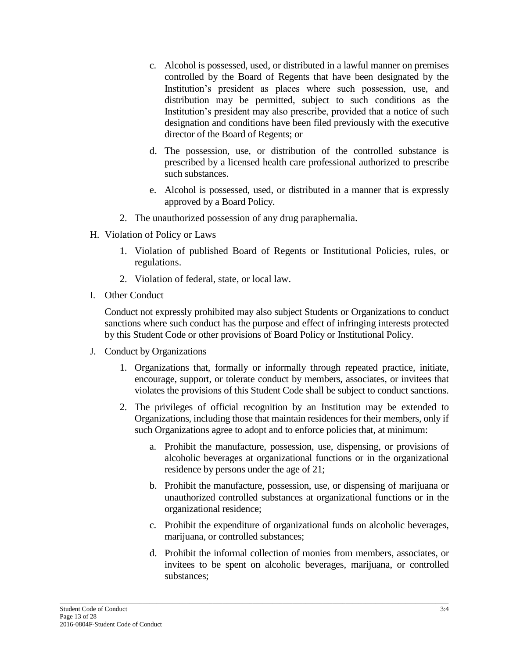- c. Alcohol is possessed, used, or distributed in a lawful manner on premises controlled by the Board of Regents that have been designated by the Institution's president as places where such possession, use, and distribution may be permitted, subject to such conditions as the Institution's president may also prescribe, provided that a notice of such designation and conditions have been filed previously with the executive director of the Board of Regents; or
- d. The possession, use, or distribution of the controlled substance is prescribed by a licensed health care professional authorized to prescribe such substances.
- e. Alcohol is possessed, used, or distributed in a manner that is expressly approved by a Board Policy.
- 2. The unauthorized possession of any drug paraphernalia.
- H. Violation of Policy or Laws
	- 1. Violation of published Board of Regents or Institutional Policies, rules, or regulations.
	- 2. Violation of federal, state, or local law.
- I. Other Conduct

Conduct not expressly prohibited may also subject Students or Organizations to conduct sanctions where such conduct has the purpose and effect of infringing interests protected by this Student Code or other provisions of Board Policy or Institutional Policy.

- J. Conduct by Organizations
	- 1. Organizations that, formally or informally through repeated practice, initiate, encourage, support, or tolerate conduct by members, associates, or invitees that violates the provisions of this Student Code shall be subject to conduct sanctions.
	- 2. The privileges of official recognition by an Institution may be extended to Organizations, including those that maintain residences for their members, only if such Organizations agree to adopt and to enforce policies that, at minimum:
		- a. Prohibit the manufacture, possession, use, dispensing, or provisions of alcoholic beverages at organizational functions or in the organizational residence by persons under the age of 21;
		- b. Prohibit the manufacture, possession, use, or dispensing of marijuana or unauthorized controlled substances at organizational functions or in the organizational residence;
		- c. Prohibit the expenditure of organizational funds on alcoholic beverages, marijuana, or controlled substances;
		- d. Prohibit the informal collection of monies from members, associates, or invitees to be spent on alcoholic beverages, marijuana, or controlled substances;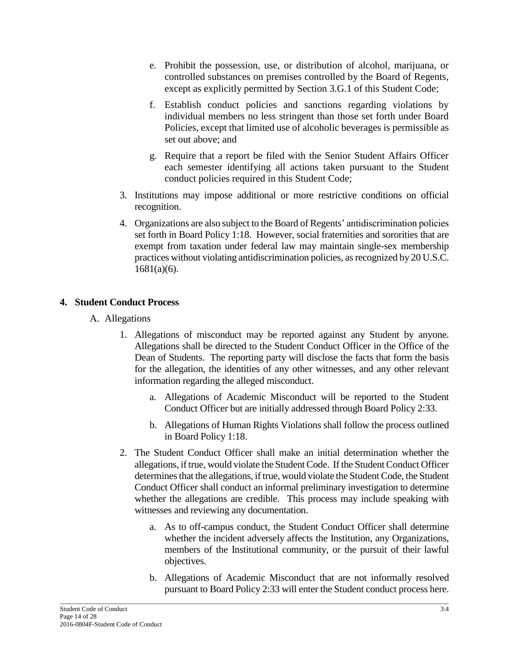- e. Prohibit the possession, use, or distribution of alcohol, marijuana, or controlled substances on premises controlled by the Board of Regents, except as explicitly permitted by Section 3.G.1 of this Student Code;
- f. Establish conduct policies and sanctions regarding violations by individual members no less stringent than those set forth under Board Policies, except that limited use of alcoholic beverages is permissible as set out above; and
- g. Require that a report be filed with the Senior Student Affairs Officer each semester identifying all actions taken pursuant to the Student conduct policies required in this Student Code;
- 3. Institutions may impose additional or more restrictive conditions on official recognition.
- 4. Organizations are also subject to the Board of Regents' antidiscrimination policies set forth in Board Policy 1:18. However, social fraternities and sororities that are exempt from taxation under federal law may maintain single-sex membership practices without violating antidiscrimination policies, as recognized by 20 U.S.C. 1681(a)(6).

## **4. Student Conduct Process**

- A. Allegations
	- 1. Allegations of misconduct may be reported against any Student by anyone. Allegations shall be directed to the Student Conduct Officer in the Office of the Dean of Students. The reporting party will disclose the facts that form the basis for the allegation, the identities of any other witnesses, and any other relevant information regarding the alleged misconduct.
		- a. Allegations of Academic Misconduct will be reported to the Student Conduct Officer but are initially addressed through Board Policy 2:33.
		- b. Allegations of Human Rights Violations shall follow the process outlined in Board Policy 1:18.
	- 2. The Student Conduct Officer shall make an initial determination whether the allegations, if true, would violate the Student Code. If the Student Conduct Officer determines that the allegations, if true, would violate the Student Code, the Student Conduct Officer shall conduct an informal preliminary investigation to determine whether the allegations are credible. This process may include speaking with witnesses and reviewing any documentation.
		- a. As to off-campus conduct, the Student Conduct Officer shall determine whether the incident adversely affects the Institution, any Organizations, members of the Institutional community, or the pursuit of their lawful objectives.
		- b. Allegations of Academic Misconduct that are not informally resolved pursuant to Board Policy 2:33 will enter the Student conduct process here.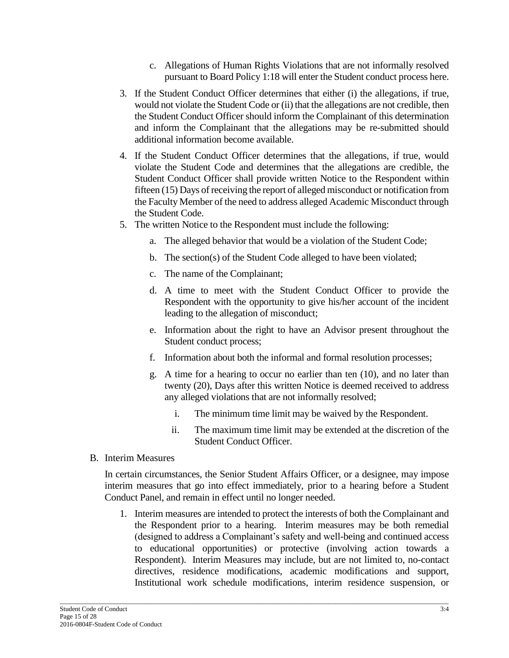- c. Allegations of Human Rights Violations that are not informally resolved pursuant to Board Policy 1:18 will enter the Student conduct process here.
- 3. If the Student Conduct Officer determines that either (i) the allegations, if true, would not violate the Student Code or (ii) that the allegations are not credible, then the Student Conduct Officer should inform the Complainant of this determination and inform the Complainant that the allegations may be re-submitted should additional information become available.
- 4. If the Student Conduct Officer determines that the allegations, if true, would violate the Student Code and determines that the allegations are credible, the Student Conduct Officer shall provide written Notice to the Respondent within fifteen (15) Days of receiving the report of alleged misconduct or notification from the Faculty Member of the need to address alleged Academic Misconduct through the Student Code.
- 5. The written Notice to the Respondent must include the following:
	- a. The alleged behavior that would be a violation of the Student Code;
	- b. The section(s) of the Student Code alleged to have been violated;
	- c. The name of the Complainant;
	- d. A time to meet with the Student Conduct Officer to provide the Respondent with the opportunity to give his/her account of the incident leading to the allegation of misconduct;
	- e. Information about the right to have an Advisor present throughout the Student conduct process;
	- f. Information about both the informal and formal resolution processes;
	- g. A time for a hearing to occur no earlier than ten (10), and no later than twenty (20), Days after this written Notice is deemed received to address any alleged violations that are not informally resolved;
		- i. The minimum time limit may be waived by the Respondent.
		- ii. The maximum time limit may be extended at the discretion of the Student Conduct Officer.
- B. Interim Measures

In certain circumstances, the Senior Student Affairs Officer, or a designee, may impose interim measures that go into effect immediately, prior to a hearing before a Student Conduct Panel, and remain in effect until no longer needed.

1. Interim measures are intended to protect the interests of both the Complainant and the Respondent prior to a hearing. Interim measures may be both remedial (designed to address a Complainant's safety and well-being and continued access to educational opportunities) or protective (involving action towards a Respondent). Interim Measures may include, but are not limited to, no-contact directives, residence modifications, academic modifications and support, Institutional work schedule modifications, interim residence suspension, or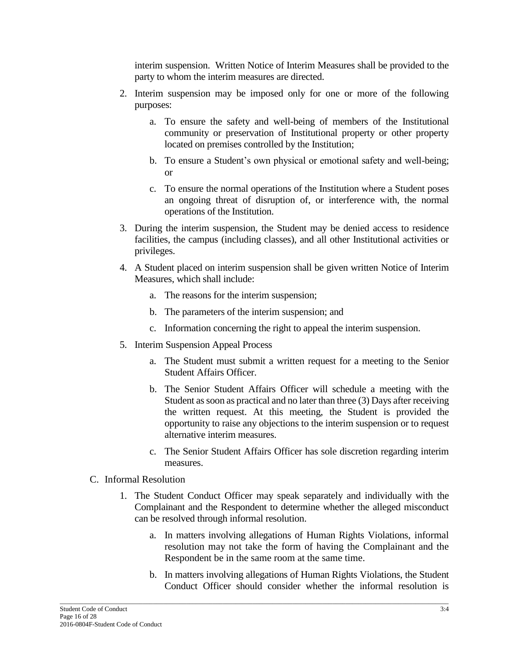interim suspension. Written Notice of Interim Measures shall be provided to the party to whom the interim measures are directed.

- 2. Interim suspension may be imposed only for one or more of the following purposes:
	- a. To ensure the safety and well-being of members of the Institutional community or preservation of Institutional property or other property located on premises controlled by the Institution;
	- b. To ensure a Student's own physical or emotional safety and well-being; or
	- c. To ensure the normal operations of the Institution where a Student poses an ongoing threat of disruption of, or interference with, the normal operations of the Institution.
- 3. During the interim suspension, the Student may be denied access to residence facilities, the campus (including classes), and all other Institutional activities or privileges.
- 4. A Student placed on interim suspension shall be given written Notice of Interim Measures, which shall include:
	- a. The reasons for the interim suspension;
	- b. The parameters of the interim suspension; and
	- c. Information concerning the right to appeal the interim suspension.
- 5. Interim Suspension Appeal Process
	- a. The Student must submit a written request for a meeting to the Senior Student Affairs Officer.
	- b. The Senior Student Affairs Officer will schedule a meeting with the Student as soon as practical and no later than three (3) Days after receiving the written request. At this meeting, the Student is provided the opportunity to raise any objections to the interim suspension or to request alternative interim measures.
	- c. The Senior Student Affairs Officer has sole discretion regarding interim measures.

### C. Informal Resolution

- 1. The Student Conduct Officer may speak separately and individually with the Complainant and the Respondent to determine whether the alleged misconduct can be resolved through informal resolution.
	- a. In matters involving allegations of Human Rights Violations, informal resolution may not take the form of having the Complainant and the Respondent be in the same room at the same time.
	- b. In matters involving allegations of Human Rights Violations, the Student Conduct Officer should consider whether the informal resolution is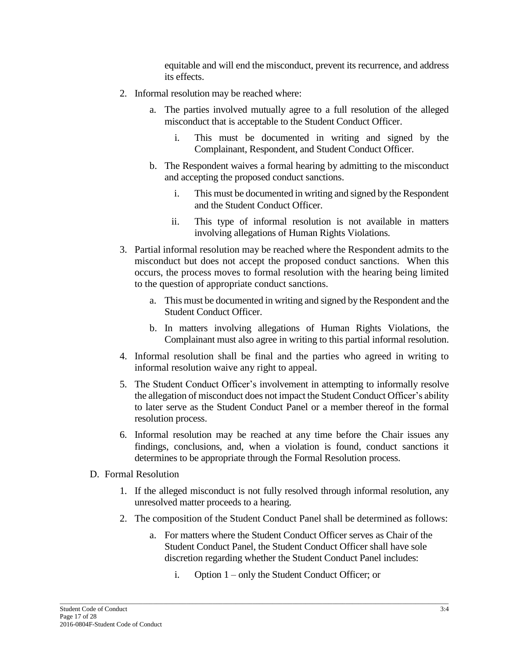equitable and will end the misconduct, prevent its recurrence, and address its effects.

- 2. Informal resolution may be reached where:
	- a. The parties involved mutually agree to a full resolution of the alleged misconduct that is acceptable to the Student Conduct Officer.
		- i. This must be documented in writing and signed by the Complainant, Respondent, and Student Conduct Officer.
	- b. The Respondent waives a formal hearing by admitting to the misconduct and accepting the proposed conduct sanctions.
		- i. This must be documented in writing and signed by the Respondent and the Student Conduct Officer.
		- ii. This type of informal resolution is not available in matters involving allegations of Human Rights Violations.
- 3. Partial informal resolution may be reached where the Respondent admits to the misconduct but does not accept the proposed conduct sanctions. When this occurs, the process moves to formal resolution with the hearing being limited to the question of appropriate conduct sanctions.
	- a. This must be documented in writing and signed by the Respondent and the Student Conduct Officer.
	- b. In matters involving allegations of Human Rights Violations, the Complainant must also agree in writing to this partial informal resolution.
- 4. Informal resolution shall be final and the parties who agreed in writing to informal resolution waive any right to appeal.
- 5. The Student Conduct Officer's involvement in attempting to informally resolve the allegation of misconduct does not impact the Student Conduct Officer's ability to later serve as the Student Conduct Panel or a member thereof in the formal resolution process.
- 6. Informal resolution may be reached at any time before the Chair issues any findings, conclusions, and, when a violation is found, conduct sanctions it determines to be appropriate through the Formal Resolution process.
- D. Formal Resolution
	- 1. If the alleged misconduct is not fully resolved through informal resolution, any unresolved matter proceeds to a hearing.
	- 2. The composition of the Student Conduct Panel shall be determined as follows:
		- a. For matters where the Student Conduct Officer serves as Chair of the Student Conduct Panel, the Student Conduct Officer shall have sole discretion regarding whether the Student Conduct Panel includes:
			- i. Option 1 only the Student Conduct Officer; or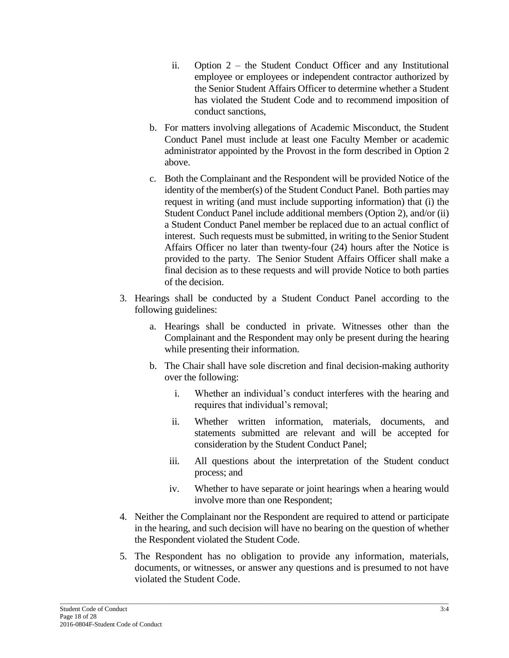- ii. Option 2 the Student Conduct Officer and any Institutional employee or employees or independent contractor authorized by the Senior Student Affairs Officer to determine whether a Student has violated the Student Code and to recommend imposition of conduct sanctions,
- b. For matters involving allegations of Academic Misconduct, the Student Conduct Panel must include at least one Faculty Member or academic administrator appointed by the Provost in the form described in Option 2 above.
- c. Both the Complainant and the Respondent will be provided Notice of the identity of the member(s) of the Student Conduct Panel. Both parties may request in writing (and must include supporting information) that (i) the Student Conduct Panel include additional members (Option 2), and/or (ii) a Student Conduct Panel member be replaced due to an actual conflict of interest. Such requests must be submitted, in writing to the Senior Student Affairs Officer no later than twenty-four (24) hours after the Notice is provided to the party. The Senior Student Affairs Officer shall make a final decision as to these requests and will provide Notice to both parties of the decision.
- 3. Hearings shall be conducted by a Student Conduct Panel according to the following guidelines:
	- a. Hearings shall be conducted in private. Witnesses other than the Complainant and the Respondent may only be present during the hearing while presenting their information.
	- b. The Chair shall have sole discretion and final decision-making authority over the following:
		- i. Whether an individual's conduct interferes with the hearing and requires that individual's removal;
		- ii. Whether written information, materials, documents, and statements submitted are relevant and will be accepted for consideration by the Student Conduct Panel;
		- iii. All questions about the interpretation of the Student conduct process; and
		- iv. Whether to have separate or joint hearings when a hearing would involve more than one Respondent;
- 4. Neither the Complainant nor the Respondent are required to attend or participate in the hearing, and such decision will have no bearing on the question of whether the Respondent violated the Student Code.
- 5. The Respondent has no obligation to provide any information, materials, documents, or witnesses, or answer any questions and is presumed to not have violated the Student Code.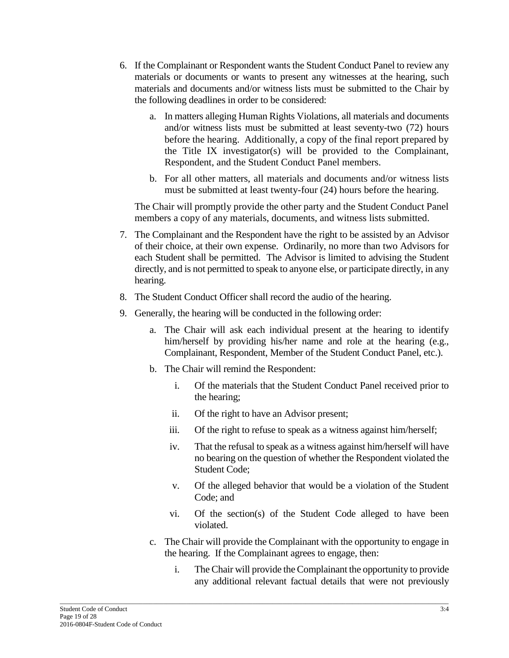- 6. If the Complainant or Respondent wants the Student Conduct Panel to review any materials or documents or wants to present any witnesses at the hearing, such materials and documents and/or witness lists must be submitted to the Chair by the following deadlines in order to be considered:
	- a. In matters alleging Human Rights Violations, all materials and documents and/or witness lists must be submitted at least seventy-two (72) hours before the hearing. Additionally, a copy of the final report prepared by the Title IX investigator(s) will be provided to the Complainant, Respondent, and the Student Conduct Panel members.
	- b. For all other matters, all materials and documents and/or witness lists must be submitted at least twenty-four (24) hours before the hearing.

The Chair will promptly provide the other party and the Student Conduct Panel members a copy of any materials, documents, and witness lists submitted.

- 7. The Complainant and the Respondent have the right to be assisted by an Advisor of their choice, at their own expense. Ordinarily, no more than two Advisors for each Student shall be permitted. The Advisor is limited to advising the Student directly, and is not permitted to speak to anyone else, or participate directly, in any hearing.
- 8. The Student Conduct Officer shall record the audio of the hearing.
- 9. Generally, the hearing will be conducted in the following order:
	- a. The Chair will ask each individual present at the hearing to identify him/herself by providing his/her name and role at the hearing (e.g., Complainant, Respondent, Member of the Student Conduct Panel, etc.).
	- b. The Chair will remind the Respondent:
		- i. Of the materials that the Student Conduct Panel received prior to the hearing;
		- ii. Of the right to have an Advisor present;
		- iii. Of the right to refuse to speak as a witness against him/herself;
		- iv. That the refusal to speak as a witness against him/herself will have no bearing on the question of whether the Respondent violated the Student Code;
		- v. Of the alleged behavior that would be a violation of the Student Code; and
		- vi. Of the section(s) of the Student Code alleged to have been violated.
	- c. The Chair will provide the Complainant with the opportunity to engage in the hearing. If the Complainant agrees to engage, then:
		- i. The Chair will provide the Complainant the opportunity to provide any additional relevant factual details that were not previously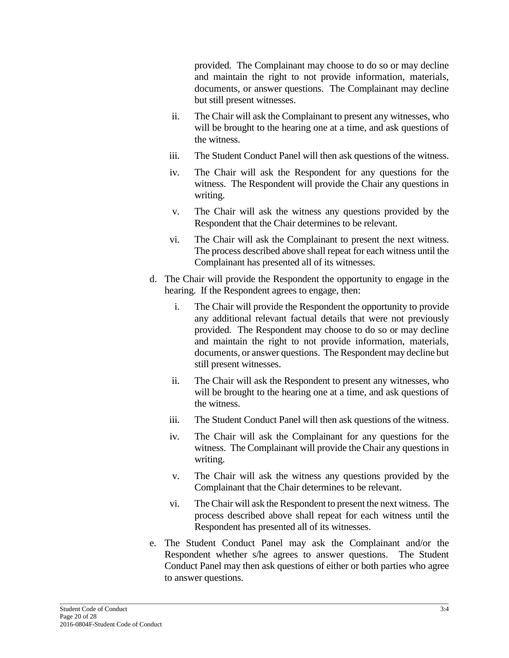provided. The Complainant may choose to do so or may decline and maintain the right to not provide information, materials, documents, or answer questions. The Complainant may decline but still present witnesses.

- ii. The Chair will ask the Complainant to present any witnesses, who will be brought to the hearing one at a time, and ask questions of the witness.
- iii. The Student Conduct Panel will then ask questions of the witness.
- iv. The Chair will ask the Respondent for any questions for the witness. The Respondent will provide the Chair any questions in writing.
- v. The Chair will ask the witness any questions provided by the Respondent that the Chair determines to be relevant.
- vi. The Chair will ask the Complainant to present the next witness. The process described above shall repeat for each witness until the Complainant has presented all of its witnesses.
- d. The Chair will provide the Respondent the opportunity to engage in the hearing. If the Respondent agrees to engage, then:
	- i. The Chair will provide the Respondent the opportunity to provide any additional relevant factual details that were not previously provided. The Respondent may choose to do so or may decline and maintain the right to not provide information, materials, documents, or answer questions. The Respondent may decline but still present witnesses.
	- ii. The Chair will ask the Respondent to present any witnesses, who will be brought to the hearing one at a time, and ask questions of the witness.
	- iii. The Student Conduct Panel will then ask questions of the witness.
	- iv. The Chair will ask the Complainant for any questions for the witness. The Complainant will provide the Chair any questions in writing.
	- v. The Chair will ask the witness any questions provided by the Complainant that the Chair determines to be relevant.
	- vi. The Chair will ask the Respondent to present the next witness. The process described above shall repeat for each witness until the Respondent has presented all of its witnesses.
- e. The Student Conduct Panel may ask the Complainant and/or the Respondent whether s/he agrees to answer questions. The Student Conduct Panel may then ask questions of either or both parties who agree to answer questions.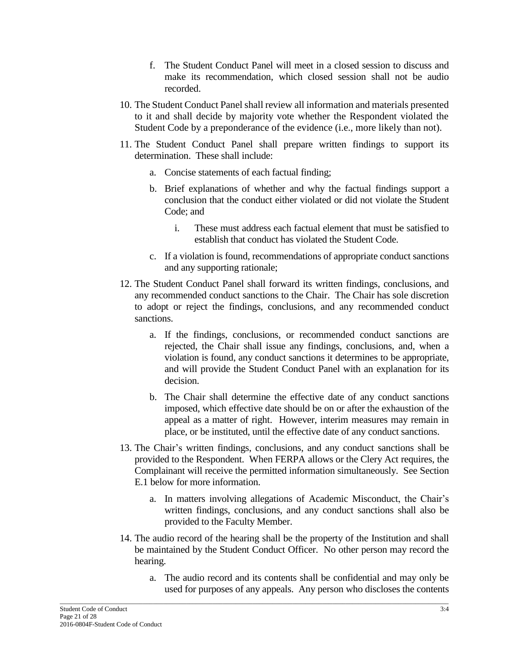- f. The Student Conduct Panel will meet in a closed session to discuss and make its recommendation, which closed session shall not be audio recorded.
- 10. The Student Conduct Panel shall review all information and materials presented to it and shall decide by majority vote whether the Respondent violated the Student Code by a preponderance of the evidence (i.e., more likely than not).
- 11. The Student Conduct Panel shall prepare written findings to support its determination. These shall include:
	- a. Concise statements of each factual finding;
	- b. Brief explanations of whether and why the factual findings support a conclusion that the conduct either violated or did not violate the Student Code; and
		- i. These must address each factual element that must be satisfied to establish that conduct has violated the Student Code.
	- c. If a violation is found, recommendations of appropriate conduct sanctions and any supporting rationale;
- 12. The Student Conduct Panel shall forward its written findings, conclusions, and any recommended conduct sanctions to the Chair. The Chair has sole discretion to adopt or reject the findings, conclusions, and any recommended conduct sanctions.
	- a. If the findings, conclusions, or recommended conduct sanctions are rejected, the Chair shall issue any findings, conclusions, and, when a violation is found, any conduct sanctions it determines to be appropriate, and will provide the Student Conduct Panel with an explanation for its decision.
	- b. The Chair shall determine the effective date of any conduct sanctions imposed, which effective date should be on or after the exhaustion of the appeal as a matter of right. However, interim measures may remain in place, or be instituted, until the effective date of any conduct sanctions.
- 13. The Chair's written findings, conclusions, and any conduct sanctions shall be provided to the Respondent. When FERPA allows or the Clery Act requires, the Complainant will receive the permitted information simultaneously. See Section E.1 below for more information.
	- a. In matters involving allegations of Academic Misconduct, the Chair's written findings, conclusions, and any conduct sanctions shall also be provided to the Faculty Member.
- 14. The audio record of the hearing shall be the property of the Institution and shall be maintained by the Student Conduct Officer. No other person may record the hearing.
	- a. The audio record and its contents shall be confidential and may only be used for purposes of any appeals. Any person who discloses the contents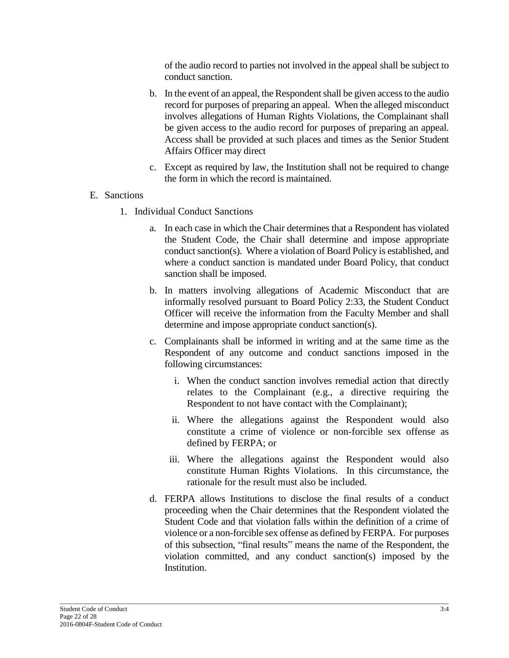of the audio record to parties not involved in the appeal shall be subject to conduct sanction.

- b. In the event of an appeal, the Respondent shall be given access to the audio record for purposes of preparing an appeal. When the alleged misconduct involves allegations of Human Rights Violations, the Complainant shall be given access to the audio record for purposes of preparing an appeal. Access shall be provided at such places and times as the Senior Student Affairs Officer may direct
- c. Except as required by law, the Institution shall not be required to change the form in which the record is maintained.

### E. Sanctions

- 1. Individual Conduct Sanctions
	- a. In each case in which the Chair determines that a Respondent has violated the Student Code, the Chair shall determine and impose appropriate conduct sanction(s). Where a violation of Board Policy is established, and where a conduct sanction is mandated under Board Policy, that conduct sanction shall be imposed.
	- b. In matters involving allegations of Academic Misconduct that are informally resolved pursuant to Board Policy 2:33, the Student Conduct Officer will receive the information from the Faculty Member and shall determine and impose appropriate conduct sanction(s).
	- c. Complainants shall be informed in writing and at the same time as the Respondent of any outcome and conduct sanctions imposed in the following circumstances:
		- i. When the conduct sanction involves remedial action that directly relates to the Complainant (e.g., a directive requiring the Respondent to not have contact with the Complainant);
		- ii. Where the allegations against the Respondent would also constitute a crime of violence or non-forcible sex offense as defined by FERPA; or
		- iii. Where the allegations against the Respondent would also constitute Human Rights Violations. In this circumstance, the rationale for the result must also be included.
	- d. FERPA allows Institutions to disclose the final results of a conduct proceeding when the Chair determines that the Respondent violated the Student Code and that violation falls within the definition of a crime of violence or a non-forcible sex offense as defined by FERPA. For purposes of this subsection, "final results" means the name of the Respondent, the violation committed, and any conduct sanction(s) imposed by the Institution.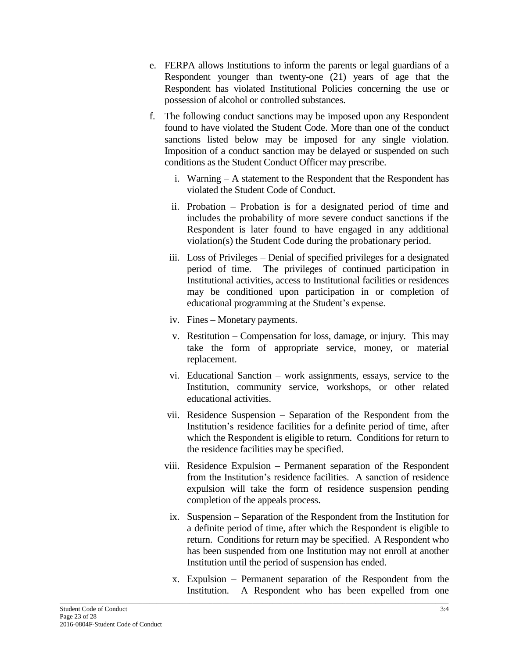- e. FERPA allows Institutions to inform the parents or legal guardians of a Respondent younger than twenty-one (21) years of age that the Respondent has violated Institutional Policies concerning the use or possession of alcohol or controlled substances.
- f. The following conduct sanctions may be imposed upon any Respondent found to have violated the Student Code. More than one of the conduct sanctions listed below may be imposed for any single violation. Imposition of a conduct sanction may be delayed or suspended on such conditions as the Student Conduct Officer may prescribe.
	- i. Warning A statement to the Respondent that the Respondent has violated the Student Code of Conduct.
	- ii. Probation Probation is for a designated period of time and includes the probability of more severe conduct sanctions if the Respondent is later found to have engaged in any additional violation(s) the Student Code during the probationary period.
	- iii. Loss of Privileges Denial of specified privileges for a designated period of time. The privileges of continued participation in Institutional activities, access to Institutional facilities or residences may be conditioned upon participation in or completion of educational programming at the Student's expense.
	- iv. Fines Monetary payments.
	- v. Restitution Compensation for loss, damage, or injury. This may take the form of appropriate service, money, or material replacement.
	- vi. Educational Sanction work assignments, essays, service to the Institution, community service, workshops, or other related educational activities.
	- vii. Residence Suspension Separation of the Respondent from the Institution's residence facilities for a definite period of time, after which the Respondent is eligible to return. Conditions for return to the residence facilities may be specified.
	- viii. Residence Expulsion Permanent separation of the Respondent from the Institution's residence facilities. A sanction of residence expulsion will take the form of residence suspension pending completion of the appeals process.
	- ix. Suspension Separation of the Respondent from the Institution for a definite period of time, after which the Respondent is eligible to return. Conditions for return may be specified. A Respondent who has been suspended from one Institution may not enroll at another Institution until the period of suspension has ended.
	- x. Expulsion Permanent separation of the Respondent from the Institution. A Respondent who has been expelled from one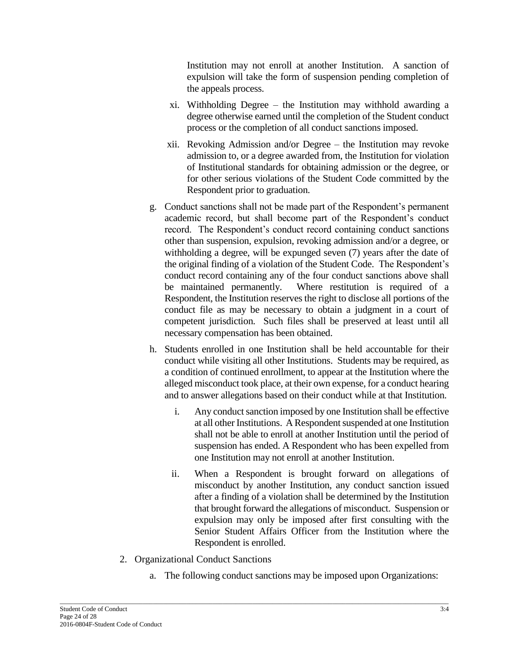Institution may not enroll at another Institution. A sanction of expulsion will take the form of suspension pending completion of the appeals process.

- xi. Withholding Degree the Institution may withhold awarding a degree otherwise earned until the completion of the Student conduct process or the completion of all conduct sanctions imposed.
- xii. Revoking Admission and/or Degree the Institution may revoke admission to, or a degree awarded from, the Institution for violation of Institutional standards for obtaining admission or the degree, or for other serious violations of the Student Code committed by the Respondent prior to graduation.
- g. Conduct sanctions shall not be made part of the Respondent's permanent academic record, but shall become part of the Respondent's conduct record. The Respondent's conduct record containing conduct sanctions other than suspension, expulsion, revoking admission and/or a degree, or withholding a degree, will be expunged seven (7) years after the date of the original finding of a violation of the Student Code. The Respondent's conduct record containing any of the four conduct sanctions above shall be maintained permanently. Where restitution is required of a Respondent, the Institution reserves the right to disclose all portions of the conduct file as may be necessary to obtain a judgment in a court of competent jurisdiction. Such files shall be preserved at least until all necessary compensation has been obtained.
- h. Students enrolled in one Institution shall be held accountable for their conduct while visiting all other Institutions. Students may be required, as a condition of continued enrollment, to appear at the Institution where the alleged misconduct took place, at their own expense, for a conduct hearing and to answer allegations based on their conduct while at that Institution.
	- i. Any conduct sanction imposed by one Institution shall be effective at all other Institutions. A Respondent suspended at one Institution shall not be able to enroll at another Institution until the period of suspension has ended. A Respondent who has been expelled from one Institution may not enroll at another Institution.
	- ii. When a Respondent is brought forward on allegations of misconduct by another Institution, any conduct sanction issued after a finding of a violation shall be determined by the Institution that brought forward the allegations of misconduct. Suspension or expulsion may only be imposed after first consulting with the Senior Student Affairs Officer from the Institution where the Respondent is enrolled.
- 2. Organizational Conduct Sanctions
	- a. The following conduct sanctions may be imposed upon Organizations: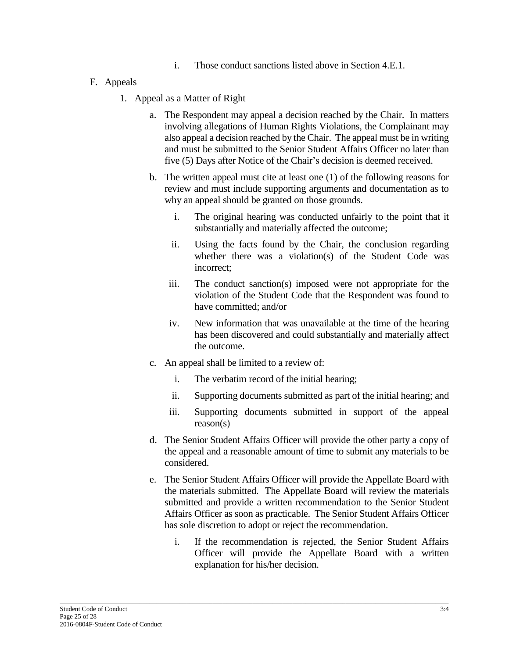- i. Those conduct sanctions listed above in Section 4.E.1.
- F. Appeals
	- 1. Appeal as a Matter of Right
		- a. The Respondent may appeal a decision reached by the Chair. In matters involving allegations of Human Rights Violations, the Complainant may also appeal a decision reached by the Chair. The appeal must be in writing and must be submitted to the Senior Student Affairs Officer no later than five (5) Days after Notice of the Chair's decision is deemed received.
		- b. The written appeal must cite at least one (1) of the following reasons for review and must include supporting arguments and documentation as to why an appeal should be granted on those grounds.
			- i. The original hearing was conducted unfairly to the point that it substantially and materially affected the outcome;
			- ii. Using the facts found by the Chair, the conclusion regarding whether there was a violation(s) of the Student Code was incorrect;
			- iii. The conduct sanction(s) imposed were not appropriate for the violation of the Student Code that the Respondent was found to have committed; and/or
			- iv. New information that was unavailable at the time of the hearing has been discovered and could substantially and materially affect the outcome.
		- c. An appeal shall be limited to a review of:
			- i. The verbatim record of the initial hearing;

\_\_\_\_\_\_\_\_\_\_\_\_\_\_\_\_\_\_\_\_\_\_\_\_\_\_\_\_\_\_\_\_\_\_\_\_\_\_\_\_\_\_\_\_\_\_\_\_\_\_\_\_\_\_\_\_\_\_\_\_\_\_\_\_\_\_\_\_\_\_\_\_\_\_\_\_\_\_\_\_\_\_\_\_\_\_\_\_\_\_\_\_\_\_\_\_\_\_\_\_\_\_\_\_\_\_\_\_\_\_\_\_\_\_\_\_\_

- ii. Supporting documents submitted as part of the initial hearing; and
- iii. Supporting documents submitted in support of the appeal reason(s)
- d. The Senior Student Affairs Officer will provide the other party a copy of the appeal and a reasonable amount of time to submit any materials to be considered.
- e. The Senior Student Affairs Officer will provide the Appellate Board with the materials submitted. The Appellate Board will review the materials submitted and provide a written recommendation to the Senior Student Affairs Officer as soon as practicable. The Senior Student Affairs Officer has sole discretion to adopt or reject the recommendation.
	- i. If the recommendation is rejected, the Senior Student Affairs Officer will provide the Appellate Board with a written explanation for his/her decision.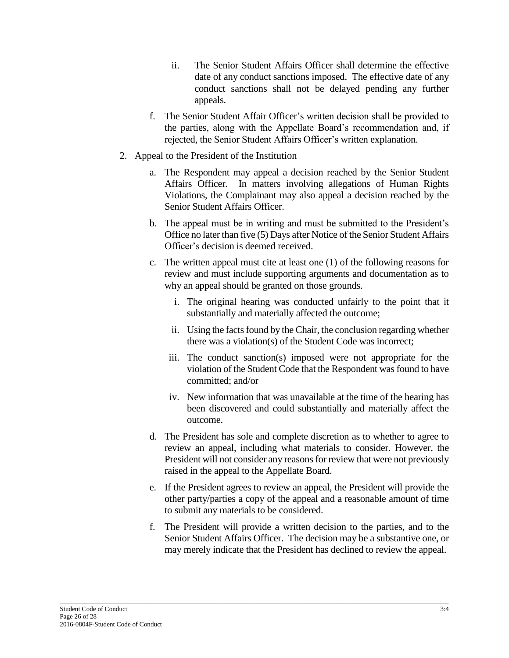- ii. The Senior Student Affairs Officer shall determine the effective date of any conduct sanctions imposed. The effective date of any conduct sanctions shall not be delayed pending any further appeals.
- f. The Senior Student Affair Officer's written decision shall be provided to the parties, along with the Appellate Board's recommendation and, if rejected, the Senior Student Affairs Officer's written explanation.
- 2. Appeal to the President of the Institution
	- a. The Respondent may appeal a decision reached by the Senior Student Affairs Officer. In matters involving allegations of Human Rights Violations, the Complainant may also appeal a decision reached by the Senior Student Affairs Officer.
	- b. The appeal must be in writing and must be submitted to the President's Office no later than five (5) Days after Notice of the Senior Student Affairs Officer's decision is deemed received.
	- c. The written appeal must cite at least one (1) of the following reasons for review and must include supporting arguments and documentation as to why an appeal should be granted on those grounds.
		- i. The original hearing was conducted unfairly to the point that it substantially and materially affected the outcome;
		- ii. Using the facts found by the Chair, the conclusion regarding whether there was a violation(s) of the Student Code was incorrect;
		- iii. The conduct sanction(s) imposed were not appropriate for the violation of the Student Code that the Respondent was found to have committed; and/or
		- iv. New information that was unavailable at the time of the hearing has been discovered and could substantially and materially affect the outcome.
	- d. The President has sole and complete discretion as to whether to agree to review an appeal, including what materials to consider. However, the President will not consider any reasons for review that were not previously raised in the appeal to the Appellate Board.
	- e. If the President agrees to review an appeal, the President will provide the other party/parties a copy of the appeal and a reasonable amount of time to submit any materials to be considered.
	- f. The President will provide a written decision to the parties, and to the Senior Student Affairs Officer. The decision may be a substantive one, or may merely indicate that the President has declined to review the appeal.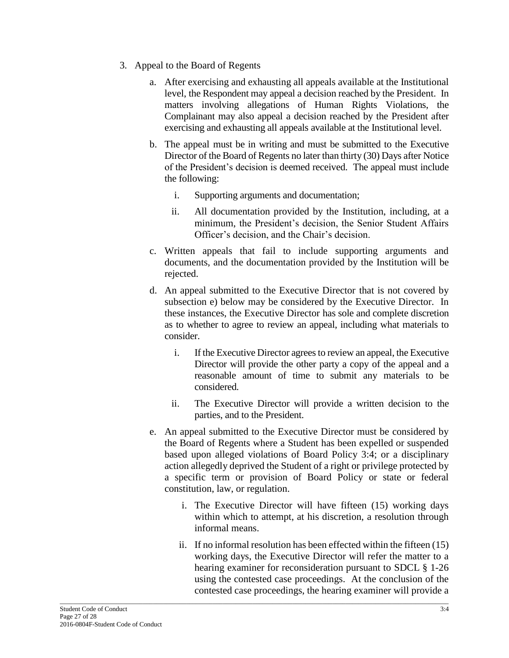- 3. Appeal to the Board of Regents
	- a. After exercising and exhausting all appeals available at the Institutional level, the Respondent may appeal a decision reached by the President. In matters involving allegations of Human Rights Violations, the Complainant may also appeal a decision reached by the President after exercising and exhausting all appeals available at the Institutional level.
	- b. The appeal must be in writing and must be submitted to the Executive Director of the Board of Regents no later than thirty (30) Days after Notice of the President's decision is deemed received. The appeal must include the following:
		- i. Supporting arguments and documentation;
		- ii. All documentation provided by the Institution, including, at a minimum, the President's decision, the Senior Student Affairs Officer's decision, and the Chair's decision.
	- c. Written appeals that fail to include supporting arguments and documents, and the documentation provided by the Institution will be rejected.
	- d. An appeal submitted to the Executive Director that is not covered by subsection e) below may be considered by the Executive Director. In these instances, the Executive Director has sole and complete discretion as to whether to agree to review an appeal, including what materials to consider.
		- i. If the Executive Director agrees to review an appeal, the Executive Director will provide the other party a copy of the appeal and a reasonable amount of time to submit any materials to be considered.
		- ii. The Executive Director will provide a written decision to the parties, and to the President.
	- e. An appeal submitted to the Executive Director must be considered by the Board of Regents where a Student has been expelled or suspended based upon alleged violations of Board Policy 3:4; or a disciplinary action allegedly deprived the Student of a right or privilege protected by a specific term or provision of Board Policy or state or federal constitution, law, or regulation.
		- i. The Executive Director will have fifteen (15) working days within which to attempt, at his discretion, a resolution through informal means.
		- ii. If no informal resolution has been effected within the fifteen (15) working days, the Executive Director will refer the matter to a hearing examiner for reconsideration pursuant to SDCL § 1-26 using the contested case proceedings. At the conclusion of the contested case proceedings, the hearing examiner will provide a